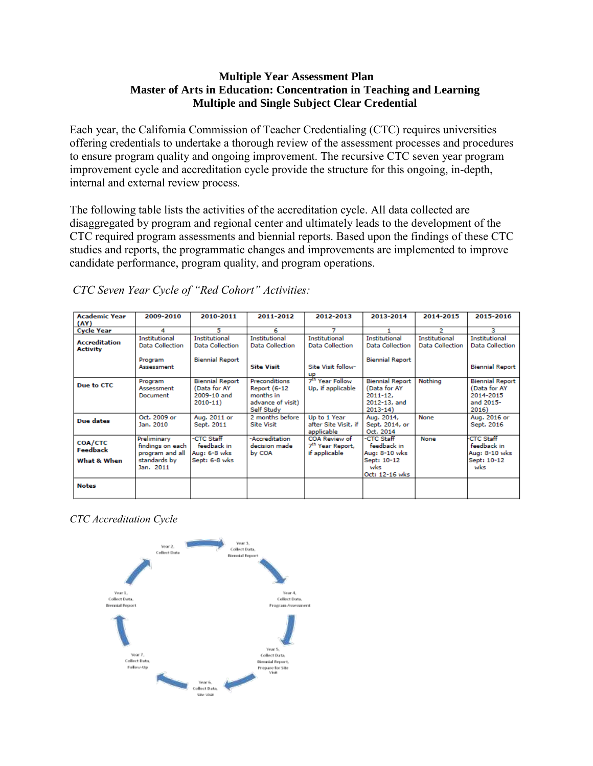## **Multiple Year Assessment Plan Master of Arts in Education: Concentration in Teaching and Learning Multiple and Single Subject Clear Credential**

Each year, the California Commission of Teacher Credentialing (CTC) requires universities offering credentials to undertake a thorough review of the assessment processes and procedures to ensure program quality and ongoing improvement. The recursive CTC seven year program improvement cycle and accreditation cycle provide the structure for this ongoing, in-depth, internal and external review process.

The following table lists the activities of the accreditation cycle. All data collected are disaggregated by program and regional center and ultimately leads to the development of the CTC required program assessments and biennial reports. Based upon the findings of these CTC studies and reports, the programmatic changes and improvements are implemented to improve candidate performance, program quality, and program operations.

| <b>Academic Year</b><br>(AY)              | 2009-2010                                                                       | 2010-2011                                                            | 2011-2012                                                                            | 2012-2013                                                      | 2013-2014                                                                             | 2014-2015                                      | 2015-2016                                                                 |
|-------------------------------------------|---------------------------------------------------------------------------------|----------------------------------------------------------------------|--------------------------------------------------------------------------------------|----------------------------------------------------------------|---------------------------------------------------------------------------------------|------------------------------------------------|---------------------------------------------------------------------------|
| <b>Cycle Year</b>                         | 4                                                                               | 5                                                                    | 6                                                                                    | 7                                                              |                                                                                       | 2                                              | з                                                                         |
| <b>Accreditation</b><br><b>Activity</b>   | <b>Institutional</b><br><b>Data Collection</b>                                  | <b>Institutional</b><br><b>Data Collection</b>                       | <b>Institutional</b><br><b>Data Collection</b>                                       | <b>Institutional</b><br><b>Data Collection</b>                 | <b>Institutional</b><br><b>Data Collection</b>                                        | <b>Institutional</b><br><b>Data Collection</b> | <b>Institutional</b><br><b>Data Collection</b>                            |
|                                           | Program<br>Assessment                                                           | <b>Biennial Report</b>                                               | <b>Site Visit</b>                                                                    | Site Visit follow-<br><b>UP</b>                                | <b>Biennial Report</b>                                                                |                                                | <b>Biennial Report</b>                                                    |
| Due to CTC                                | Program<br>Assessment<br>Document                                               | <b>Biennial Report</b><br>(Data for AY<br>2009-10 and<br>$2010 - 11$ | Preconditions<br><b>Report (6-12</b><br>months in<br>advance of visit)<br>Self Study | 7 <sup>th</sup> Year Follow<br>Up, if applicable               | <b>Biennial Report</b><br>(Data for AY<br>$2011 - 12.$<br>2012-13, and<br>$2013 - 14$ | Nothing                                        | <b>Biennial Report</b><br>(Data for AY<br>2014-2015<br>and 2015-<br>2016) |
| Due dates                                 | Oct. 2009 or<br>Jan. 2010                                                       | Aug. 2011 or<br>Sept. 2011                                           | 2 months before<br><b>Site Visit</b>                                                 | Up to 1 Year<br>after Site Visit, if<br>applicable             | Aug. 2014,<br>Sept. 2014, or<br>Oct. 2014                                             | None                                           | Aug. 2016 or<br>Sept. 2016                                                |
| <b>COA/CTC</b><br>Feedback<br>What & When | Preliminary<br>findings on each<br>program and all<br>standards by<br>Jan. 2011 | -CTC Staff<br>feedback in<br>Aug: 6-8 wks<br>Sept: 6-8 wks           | -Accreditation<br>decision made<br>by COA                                            | COA Review of<br>7 <sup>th</sup> Year Report,<br>if applicable | -CTC Staff<br>feedback in<br>Aug: 8-10 wks<br>Sept: 10-12<br>wks<br>Oct: 12-16 wks    | None                                           | <b>CTC Staff</b><br>feedback in<br>Aug: 8-10 wks<br>Sept: 10-12<br>wks    |
| <b>Notes</b>                              |                                                                                 |                                                                      |                                                                                      |                                                                |                                                                                       |                                                |                                                                           |

*CTC Seven Year Cycle of "Red Cohort" Activities:*

*CTC Accreditation Cycle*

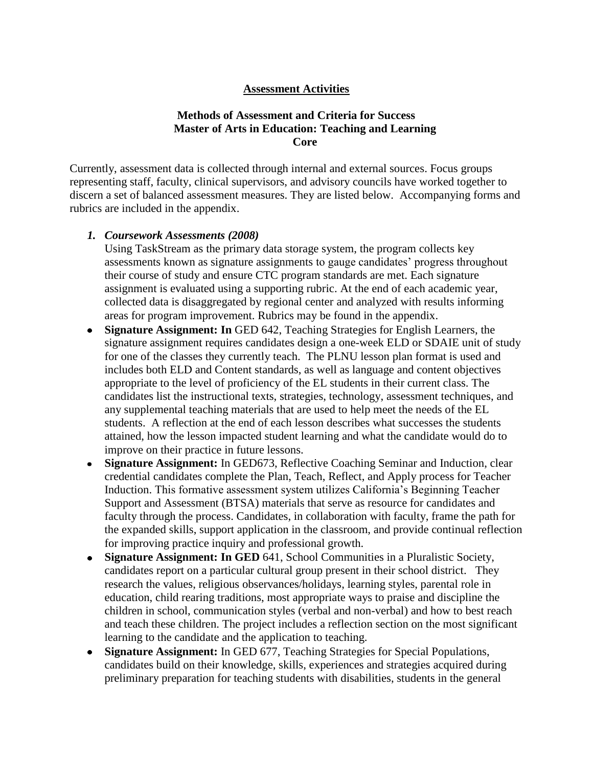### **Assessment Activities**

### **Methods of Assessment and Criteria for Success Master of Arts in Education: Teaching and Learning Core**

Currently, assessment data is collected through internal and external sources. Focus groups representing staff, faculty, clinical supervisors, and advisory councils have worked together to discern a set of balanced assessment measures. They are listed below. Accompanying forms and rubrics are included in the appendix.

#### *1. Coursework Assessments (2008)*

Using TaskStream as the primary data storage system, the program collects key assessments known as signature assignments to gauge candidates' progress throughout their course of study and ensure CTC program standards are met. Each signature assignment is evaluated using a supporting rubric. At the end of each academic year, collected data is disaggregated by regional center and analyzed with results informing areas for program improvement. Rubrics may be found in the appendix.

- **Signature Assignment: In** GED 642, Teaching Strategies for English Learners, the signature assignment requires candidates design a one-week ELD or SDAIE unit of study for one of the classes they currently teach. The PLNU lesson plan format is used and includes both ELD and Content standards, as well as language and content objectives appropriate to the level of proficiency of the EL students in their current class. The candidates list the instructional texts, strategies, technology, assessment techniques, and any supplemental teaching materials that are used to help meet the needs of the EL students. A reflection at the end of each lesson describes what successes the students attained, how the lesson impacted student learning and what the candidate would do to improve on their practice in future lessons.
- **Signature Assignment:** In GED673, Reflective Coaching Seminar and Induction, clear  $\bullet$ credential candidates complete the Plan, Teach, Reflect, and Apply process for Teacher Induction. This formative assessment system utilizes California's Beginning Teacher Support and Assessment (BTSA) materials that serve as resource for candidates and faculty through the process. Candidates, in collaboration with faculty, frame the path for the expanded skills, support application in the classroom, and provide continual reflection for improving practice inquiry and professional growth.
- **Signature Assignment: In GED** 641, School Communities in a Pluralistic Society,  $\bullet$ candidates report on a particular cultural group present in their school district. They research the values, religious observances/holidays, learning styles, parental role in education, child rearing traditions, most appropriate ways to praise and discipline the children in school, communication styles (verbal and non-verbal) and how to best reach and teach these children. The project includes a reflection section on the most significant learning to the candidate and the application to teaching.
- **Signature Assignment:** In GED 677, Teaching Strategies for Special Populations,  $\bullet$ candidates build on their knowledge, skills, experiences and strategies acquired during preliminary preparation for teaching students with disabilities, students in the general